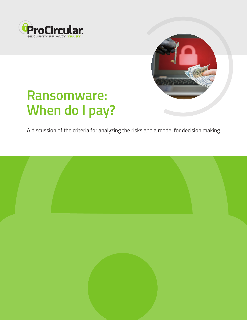



# **Ransomware: When do I pay?**

A discussion of the criteria for analyzing the risks and a model for decision making.

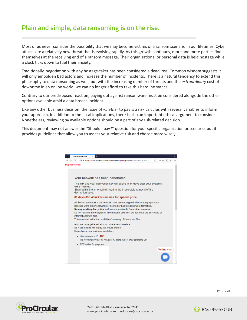# **Plain and simple, data ransoming is on the rise.**

Most of us never consider the possibility that we may become victims of a ransom scenario in our lifetimes. Cyber attacks are a relatively new threat that is evolving rapidly. As this growth continues, more and more parties find themselves at the receiving end of a ransom message. Their organizational or personal data is held hostage while a clock ticks down to fuel their anxiety.

Traditionally, negotiation with any hostage-taker has been considered a dead loss. Common wisdom suggests it will only embolden bad actors and increase the number of incidents. There is a natural tendency to extend this philosophy to data ransoming as well; but with the increasing number of threats and the *extraordinary* cost of downtime in an online world, we can no longer afford to take this hardline stance.

Contrary to our predisposed reaction, paying out against ransomware must be considered alongside the other options available amid a data breach incident.

Like any other business decision, the issue of *whether* to pay is a risk calculus with several variables to inform your approach. In addition to the fiscal implications, there is also an important ethical argument to consider. Nonetheless, reviewing *all* available options should be a part of any risk-related decision.

This document may not answer the "Should I pay?" question for your specific organization or scenario, but it provides guidelines that allow you to assess your relative risk and choose more wisely.





2451 Oakdale Blvd. Coralville, IA 52241 www.procircular.com | solutions@procircular.com



PAGE 2 of 9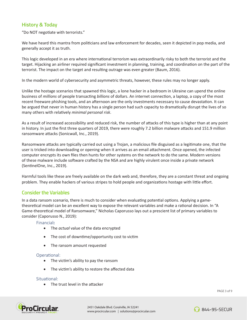## **History & Today**

"Do NOT negotiate with terrorists."

We have heard this mantra from politicians and law enforcement for decades, seen it depicted in pop media, and generally accept it as truth.

This logic developed in an era where international terrorism was extraordinarily risky to both the terrorist and the target. Hijacking an airliner required significant investment in planning, training, and coordination on the part of the terrorist. The impact on the target and resulting outrage was even greater (Baum, 2016).

In the modern world of cybersecurity and asymmetric threats, however, these rules may no longer apply.

Unlike the hostage scenarios that spawned this logic, a lone hacker in a bedroom in Ukraine can upend the online business of *millions* of people transacting *billions* of dollars. An internet connection, a laptop, a copy of the most recent freeware phishing tools, and an afternoon are the only investments necessary to cause devastation. It can be argued that never in human history has a single person had such capacity to dramatically disrupt the lives of so many others with relatively *minimal personal risk*.

As a result of increased accessibility and reduced risk, the number of attacks of this type is higher than at any point in history. In just the first three quarters of 2019, there were roughly 7.2 billion malware attacks and 151.9 million ransomware attacks (Sonicwall, Inc., 2019).

Ransomware attacks are typically carried out using a Trojan, a malicious file disguised as a legitimate one, that the user is tricked into downloading or opening when it arrives as an email attachment. Once opened, the infected computer encrypts its own files then hunts for other systems on the network to do the same. Modern versions of these malware include software crafted by the NSA and are highly virulent once inside a private network (SentinelOne, Inc., 2019).

Harmful tools like these are freely available on the dark web and, therefore, they are a constant threat and ongoing problem. They enable hackers of various stripes to hold people and organizations hostage with little effort.

### **Consider the Variables**

In a data ransom scenario, there is much to consider when evaluating potential options. Applying a gametheoretical model can be an excellent way to expose the relevant variables and make a rational decision. In "A Game-theoretical model of Ransomware," Nicholas Caporusso lays out a prescient list of primary variables to consider (Caporusso N., 2019):

Financial**:**

- • The *actual* value of the data encrypted
- The cost of downtime/opportunity cost to victim
- The ransom amount requested

#### Operational:

- The victim's ability to pay the ransom
- The victim's ability to restore the affected data

#### Situational:

• The trust level in the attacker



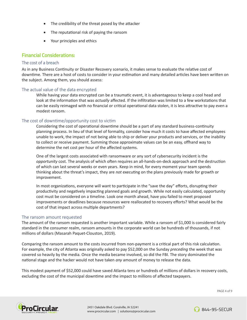- The credibility of the threat posed by the attacker
- The reputational risk of paying the ransom
- • Your principles and ethics

#### **Financial Considerations:**

#### The cost of a breach

As in any Business Continuity or Disaster Recovery scenario, it makes sense to evaluate the relative cost of downtime. There are a host of costs to consider in your estimation and many detailed articles have been written on the subject. Among them, you should assess:

#### The actual value of the data encrypted

While having your data encrypted can be a traumatic event, it is advantageous to keep a cool head and look at the information that was *actually* affected. If the infiltration was limited to a few workstations that can be easily reimaged with no financial or critical operational data stolen, it is less attractive to pay even a modest ransom.

#### The cost of downtime/opportunity cost to victim

Considering the cost of operational downtime should be a part of any standard business-continuity planning process. In lieu of that level of formality, consider how much it costs to have affected employees unable to work, the impact of not being able to ship or deliver your products and services, or the inability to collect or receive payment. Summing those approximate values can be an easy, offhand way to determine the net cost per hour of the affected systems.

One of the largest costs associated with ransomware or any sort of cybersecurity incident is the *opportunity* cost. The analysis of which often requires an all-hands-on-deck approach and the destruction of which can last several weeks or even years. Keep in mind, for every moment your team spends thinking about the threat's impact, they are *not* executing on the plans previously made for growth or improvement.

In most organizations, everyone will want to participate in the "save the day" efforts, disrupting their productivity and negatively impacting planned goals and growth. While not easily calculated, opportunity cost must be considered on a timeline. Look one month ahead, have you failed to meet proposed improvements or deadlines because resources were reallocated to recovery efforts? What would be the cost of that impact across multiple departments?

#### The ransom amount requested

The amount of the ransom requested is another important variable. While a ransom of \$1,000 is considered fairly standard in the consumer realm, ransom amounts in the corporate world can be hundreds of thousands, if not millions of dollars (Masarah Paquet-Clouston, 2019).

Comparing the ransom amount to the costs incurred from non-payment is a critical part of this risk calculation. For example, the city of Atlanta was originally asked to pay \$52,000 on the Sunday *preceding* the week that was covered so heavily by the media. Once the media became involved, so did the FBI. The story dominated the national stage and the hacker would not have taken *any* amount of money to release the data.

This modest payment of \$52,000 could have saved Atlanta tens or hundreds of millions of dollars in recovery costs, excluding the cost of the municipal downtime and the impact to millions of affected taxpayers.

PAGE 4 of 9



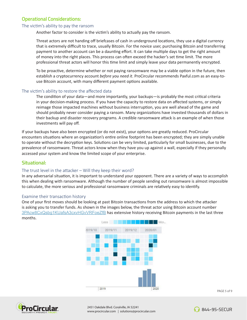## **Operational Considerations:**

#### The victim's ability to pay the ransom

Another factor to consider is the victim's ability to actually pay the ransom.

Threat actors are not handing off briefcases of cash in underground locations, they use a digital currency that is extremely difficult to trace, usually Bitcoin. For the novice user, purchasing Bitcoin and transferring payment to another account can be a daunting effort. It can take multiple days to get the right amount of money into the right places. This process can often exceed the hacker's set time limit. The more professional threat actors will honor this time limit and simply leave your data permanently encrypted.

To be proactive, determine whether or not paying ransomware may be a viable option in the future, then establish a cryptocurrency account *before you need it*. ProCircular recommends Paxful.com as an easy-touse Bitcoin account, with many different payment options available.

#### The victim's ability to restore the affected data

The condition of your data—and more importantly, your backups—is probably the most critical criteria in your decision-making process. If you have the capacity to restore data on affected systems, or simply reimage those impacted machines without business interruption, you are well ahead of the game and should probably never consider paying a ransom. Many organizations have invested thousands of dollars in their backup and disaster recovery programs. A credible ransomware attack is an example of when those investments will pay off.

If your backups have also been encrypted (or do not exist), your options are greatly reduced. ProCircular encounters situations where an organization's entire online footprint has been encrypted; they are simply unable to operate without the decryption keys. Solutions can be very limited, particularly for small businesses, due to the prevalence of ransomware. Threat actors know when they have you up against a wall, especially if they personally accessed your system and know the limited scope of your enterprise.

#### **Situational:**

#### The trust level in the attacker – Will they keep their word?

In any adversarial situation, it is important to understand your opponent. There are a variety of ways to accomplish this when dealing with ransomware. Although the number of people sending out ransomware is almost impossible to calculate, the more serious and professional ransomware criminals are relatively easy to identify.

#### Examine their transaction history

One of your first moves should be looking at past Bitcoin transactions from the address to which the attacker is asking you to transfer funds. As shown in the images below, the threat actor using Bitcoin account number 3PAcw8CxQsbg1KUafsA3cxvHGvVRFoeZfB has extensive history receiving Bitcoin payments in the last three months.





844-95-SECUR

PAGE 5 of 9

2451 Oakdale Blvd. Coralville, IA 52241 www.procircular.com | solutions@procircular.com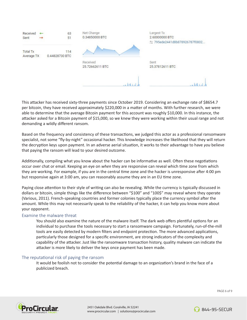

This attacker has received sixty-three payments since October 2019. Considering an exchange rate of \$8654.7 per bitcoin, they have received approximately \$220,000 in a matter of months. With further research, we were able to determine that the average Bitcoin payment for this account was roughly \$10,000. In this instance, the attacker asked for a Bitcoin payment of \$15,000, so we knew they were working within their usual range and not demanding a wildly different ransom.

Based on the frequency and consistency of these transactions, we judged this actor as a professional ransomware specialist, not some "fly-by-night" occasional hacker. This knowledge increases the likelihood that they will return the decryption keys upon payment. In an adverse aerial situation, it works to their advantage to have *you* believe that paying the ransom will lead to your desired outcome.

Additionally, compiling what you know about the hacker can be informative as well. Often these negotiations occur over chat or email. Keeping an eye on *when* they are responsive can reveal which time zone from which they are working. For example, if you are in the central time zone and the hacker is unresponsive after 4:00 pm but responsive again at 3:00 am, you can reasonably assume they are in an EU time zone.

Paying close attention to their style of writing can also be revealing. While the currency is typically discussed in dollars or bitcoin, simple things like the difference between "\$100" and "100\$" may reveal where they operate (Various, 2011). French-speaking countries and former colonies typically place the currency symbol after the amount. While this may not necessarily speak to the reliability of the hacker, it can help you know more about your opponent.

#### Examine the malware threat

You should also examine the nature of the malware itself. The dark web offers plentiful options for an individual to purchase the tools necessary to start a ransomware campaign. Fortunately, run-of-the-mill tools are easily detected by modern filters and endpoint protection. The more advanced applications, particularly those designed for a specific environment, are strong indicators of the complexity and capability of the attacker. Just like the ransomware transaction history, quality malware can indicate the attacker is more likely to deliver the keys once payment has been made.

#### The reputational risk of paying the ransom

It would be foolish not to consider the potential damage to an organization's brand in the face of a publicized breach.



PAGE 6 of 9

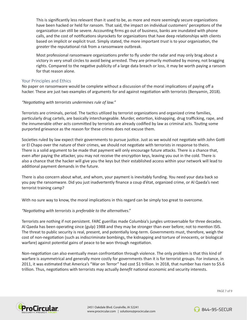This is significantly less relevant than it used to be, as more and more seemingly secure organizations have been hacked or held for ransom. That said, the impact on individual customers' perceptions of the organization can still be severe. Accounting firms go out of business, banks are inundated with phone calls, and the cost of notifications skyrockets for organizations that have deep relationships with clients based on implicit or explicit trust. Simply stated, the more important *trust* is to your organization, the *greater* the reputational risk from a ransomware outbreak.

Most professional ransomware organizations prefer to fly under the radar and may only brag about a victory in very small circles to avoid being arrested. They are primarily motivated by money, not bragging rights. Compared to the negative publicity of a large data breach or loss, it may be worth paying a ransom for that reason alone.

#### Your Principles and Ethics

No paper on ransomware would be complete without a discussion of the moral implications of paying off a hacker. These are just two examples of arguments for and against negotiation with terrorists (Benyamin, 2018).

#### *"Negotiating with terrorists undermines rule of law."*

Terrorists are criminals, period. The tactics utilized by terrorist organizations and organized crime families, particularly drug cartels, are basically interchangeable. Murder, extortion, kidnapping, drug trafficking, rape, and the innumerable other acts committed by terrorists are already codified by law as criminal acts. Touting some purported grievance as the reason for these crimes does not excuse them.

Societies ruled by law expect their governments to pursue justice. Just as we would not negotiate with John Gotti or El Chapo over the nature of their crimes, we should not negotiate with terrorists in response to theirs. There is a solid argument to be made that payment will only encourage future attacks. There is a chance that, even after paying the attacker, you may not receive the encryption keys, leaving you out in the cold. There is also a chance that the hacker will give you the keys but their established access within your network will lead to additional payment demands in the future.

There is also concern about what, and whom, your payment is inevitably funding. You need your data back so you pay the ransomware. Did you just inadvertently finance a coup d'état, organized crime, or Al Qaeda's next terrorist training camp?

With no sure way to know, the moral implications in this regard can be simply too great to overcome.

#### *"Negotiating with terrorists is preferable to the alternatives*."

Terrorists are nothing if not persistent. FARC guerillas made Columbia's jungles untraversable for three decades. Al Qaeda has been operating since (gulp) 1988 and they may be stronger than ever before; not to mention ISIS. The threat to public security is real, present, and potentially long-term. Governments must, therefore, weigh the cost of non-negotiation (such as indiscriminate bombings, the kidnapping and torture of innocents, or biological warfare) against potential gains of peace to be won through negotiation.

Non-negotiation can also eventually mean confrontation through violence. The only problem is that this kind of warfare is asymmetrical and generally more costly for governments than it is for terrorist groups. For instance, in 2011, it was estimated that America's "War on Terror" had cost \$1 trillion. In 2018, that number has risen to \$5.6 trillion. Thus, negotiations with terrorists may actually *benefit* national economic and security interests.

PAGE 7 of 9



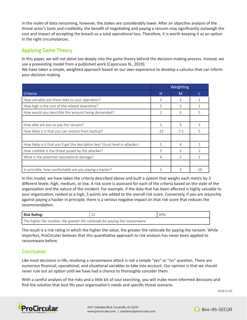In the realm of data ransoming, however, the stakes are considerably lower. After an objective analysis of the threat actor's tools and credibility, the benefit of negotiating and paying a ransom may significantly outweigh the cost and impact of accepting the breach as a total operational loss. Therefore, it is worth keeping it as an option in the right circumstances.

## **Applying Game Theory**

In this paper, we will not delve too deeply into the game theory behind the decision-making process. Instead, we use a preexisting model from a published work (Caporusso N., 2019).

We have taken a simple, weighted approach based on our own experience to develop a calculus that can inform your decision making.

|                                                                                | Weighting      |                |       |
|--------------------------------------------------------------------------------|----------------|----------------|-------|
| Criteria                                                                       | н              | M              |       |
| How valuable are these data to your operation?                                 | 5              | 3              |       |
| How high is the cost of the related downtime?                                  | 5              | 3              |       |
| How would you describle the amount being demanded?                             | $\overline{2}$ | 3              | 5     |
|                                                                                |                |                |       |
| How able are you to pay the ransom?                                            | 1              | 3              | 5     |
| How likely is it that you can restore from backup?                             | $-15$          | $-7.5$         | 5     |
|                                                                                |                |                |       |
| How likely is it that you'll get the decription key? (trust level in attacker) | 5              | 4              |       |
| How credible is the threat posed by the attacker?                              | 5              | ς              |       |
| What is the potential reputational damage?                                     | 4              | $\overline{2}$ |       |
|                                                                                |                |                |       |
| In princible, how comfortable are you paying a hacker?                         | 5              | 3              | $-10$ |

In this model, we have taken the criteria described above and built a system that weighs each metric by 3 different levels: high, medium, or low. A risk score is assessed for each of the criteria based on the state of the organization and the nature of the incident. For example, if the data that has been affected is highly valuable to your organization, ranked as a high, 5 points are added to the overall risk score. Conversely, if you are staunchly against paying a hacker in principle, there is a serious negative impact on that risk score that reduces the recommendation.

| <b>Risk Rating:</b>                                                        | LL | 49% |  |  |
|----------------------------------------------------------------------------|----|-----|--|--|
| The higher the number, the greater the rationale for paying the ransomware |    |     |  |  |

The result is a risk rating in which the higher the value, the greater the rationale for paying the ransom. While imperfect, ProCircular believes that this quantitative approach to risk analysis has never been applied to ransomware before.

## **Conclusion**

Like most decisions in life, resolving a ransomware attack is not a simple "yes" or "no" question. There are numerous financial, operational, and situational variables to take into account. Our opinion is that we should never rule out an option until we have had a chance to thoroughly consider them.

With a careful analysis of the risks and a little bit of soul searching, you will make more informed decisions and find the solution that best fits your organization's needs and specific threat scenario.